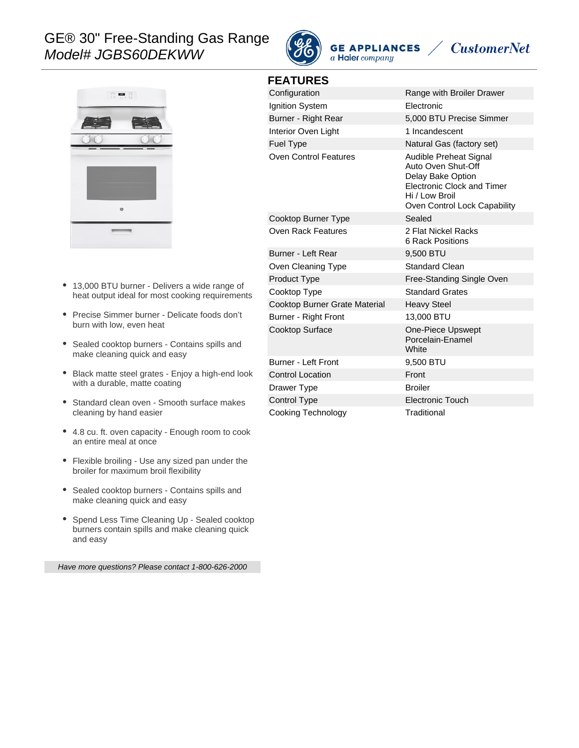# GE® 30" Free-Standing Gas Range Model# JGBS60DEKWW



**FEATURES**

**GE APPLIANCES** a Haier company





- 13,000 BTU burner Delivers a wide range of heat output ideal for most cooking requirements
- Precise Simmer burner Delicate foods don't burn with low, even heat
- Sealed cooktop burners Contains spills and make cleaning quick and easy
- Black matte steel grates Enjoy a high-end look with a durable, matte coating
- Standard clean oven Smooth surface makes cleaning by hand easier
- 4.8 cu. ft. oven capacity Enough room to cook an entire meal at once
- Flexible broiling Use any sized pan under the broiler for maximum broil flexibility
- Sealed cooktop burners Contains spills and make cleaning quick and easy
- Spend Less Time Cleaning Up Sealed cooktop burners contain spills and make cleaning quick and easy

Have more questions? Please contact 1-800-626-2000

| Configuration                 | Range with Broiler Drawer                                                                                                                                |
|-------------------------------|----------------------------------------------------------------------------------------------------------------------------------------------------------|
| Ignition System               | Electronic                                                                                                                                               |
| Burner - Right Rear           | 5,000 BTU Precise Simmer                                                                                                                                 |
| Interior Oven Light           | 1 Incandescent                                                                                                                                           |
| <b>Fuel Type</b>              | Natural Gas (factory set)                                                                                                                                |
| Oven Control Features         | Audible Preheat Signal<br>Auto Oven Shut-Off<br>Delay Bake Option<br><b>Electronic Clock and Timer</b><br>Hi / Low Broil<br>Oven Control Lock Capability |
| Cooktop Burner Type           | Sealed                                                                                                                                                   |
| Oven Rack Features            | 2 Flat Nickel Racks<br>6 Rack Positions                                                                                                                  |
| Burner - Left Rear            | 9,500 BTU                                                                                                                                                |
| Oven Cleaning Type            | Standard Clean                                                                                                                                           |
| <b>Product Type</b>           | Free-Standing Single Oven                                                                                                                                |
| Cooktop Type                  | <b>Standard Grates</b>                                                                                                                                   |
| Cooktop Burner Grate Material | <b>Heavy Steel</b>                                                                                                                                       |
| Burner - Right Front          | 13,000 BTU                                                                                                                                               |
| Cooktop Surface               | One-Piece Upswept<br>Porcelain-Enamel<br>White                                                                                                           |
| Burner - Left Front           | 9,500 BTU                                                                                                                                                |
| <b>Control Location</b>       | Front                                                                                                                                                    |
| Drawer Type                   | <b>Broiler</b>                                                                                                                                           |
| Control Type                  | <b>Electronic Touch</b>                                                                                                                                  |
| Cooking Technology            | Traditional                                                                                                                                              |